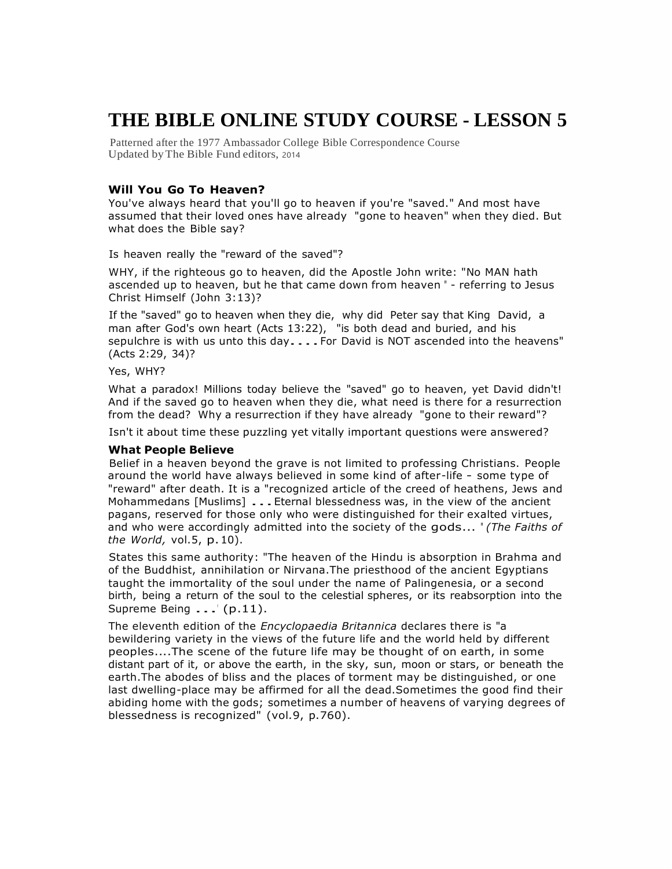# **THE BIBLE ONLINE STUDY COURSE - LESSON 5**

Patterned after the 1977 Ambassador College Bible Correspondence Course Updated byThe Bible Fund editors, 2014

## **Will You Go To Heaven?**

You've always heard that you'll go to heaven if you're "saved." And most have assumed that their loved ones have already "gone to heaven" when they died. But what does the Bible say?

Is heaven really the "reward of the saved"?

WHY, if the righteous go to heaven, did the Apostle John write: "No MAN hath ascended up to heaven, but he that came down from heaven " - referring to Jesus Christ Himself (John 3:13)?

If the "saved" go to heaven when they die, why did Peter say that King David, a man after God's own heart (Acts 13:22), "is both dead and buried, and his sepulchre is with us unto this day....For David is NOT ascended into the heavens" (Acts 2:29, 34)?

Yes, WHY?

What a paradox! Millions today believe the "saved" go to heaven, yet David didn't! And if the saved go to heaven when they die, what need is there for a resurrection from the dead? Why a resurrection if they have already "gone to their reward"?

Isn't it about time these puzzling yet vitally important questions were answered?

#### **What People Believe**

Belief in a heaven beyond the grave is not limited to professing Christians. People around the world have always believed in some kind of after-life - some type of "reward" after death. It is a "recognized article of the creed of heathens, Jews and Mohammedans [Muslims] . . . Eternal blessedness was, in the view of the ancient pagans, reserved for those only who were distinguished for their exalted virtues, and who were accordingly admitted into the society of the gods... " *(The Faiths of the World,* vol.5, p.10).

States this same authority: "The heaven of the Hindu is absorption in Brahma and of the Buddhist, annihilation or Nirvana.The priesthood of the ancient Egyptians taught the immortality of the soul under the name of Palingenesia, or a second birth, being a return of the soul to the celestial spheres, or its reabsorption into the Supreme Being . . .' (p.11).

The eleventh edition of the *Encyclopaedia Britannica* declares there is "a bewildering variety in the views of the future life and the world held by different peoples....The scene of the future life may be thought of on earth, in some distant part of it, or above the earth, in the sky, sun, moon or stars, or beneath the earth.The abodes of bliss and the places of torment may be distinguished, or one last dwelling-place may be affirmed for all the dead.Sometimes the good find their abiding home with the gods; sometimes a number of heavens of varying degrees of blessedness is recognized" (vol.9, p.760).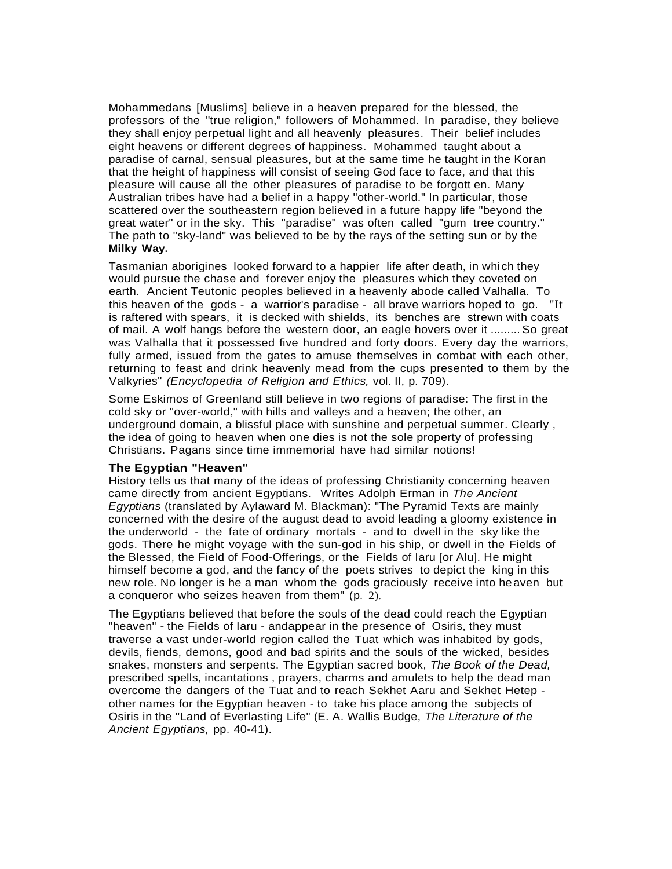Mohammedans [Muslims] believe in a heaven prepared for the blessed, the professors of the "true religion," followers of Mohammed. In paradise, they believe they shall enjoy perpetual light and all heavenly pleasures. Their belief includes eight heavens or different degrees of happiness. Mohammed taught about a paradise of carnal, sensual pleasures, but at the same time he taught in the Koran that the height of happiness will consist of seeing God face to face, and that this pleasure will cause all the other pleasures of paradise to be forgott en. Many Australian tribes have had a belief in a happy "other-world." In particular, those scattered over the southeastern region believed in a future happy life "beyond the great water" or in the sky. This "paradise" was often called "gum tree country." The path to "sky-land" was believed to be by the rays of the setting sun or by the **Milky Way.**

Tasmanian aborigines looked forward to a happier life after death, in which they would pursue the chase and forever enjoy the pleasures which they coveted on earth. Ancient Teutonic peoples believed in a heavenly abode called Valhalla. To this heaven of the gods - a warrior's paradise - all brave warriors hoped to go. "It is raftered with spears, it is decked with shields, its benches are strewn with coats of mail. A wolf hangs before the western door, an eagle hovers over it ......... So great was Valhalla that it possessed five hundred and forty doors. Every day the warriors, fully armed, issued from the gates to amuse themselves in combat with each other, returning to feast and drink heavenly mead from the cups presented to them by the Valkyries" *(Encyclopedia of Religion and Ethics,* vol. II, p. 709).

Some Eskimos of Greenland still believe in two regions of paradise: The first in the cold sky or "over-world," with hills and valleys and a heaven; the other, an underground domain, a blissful place with sunshine and perpetual summer. Clearly , the idea of going to heaven when one dies is not the sole property of professing Christians. Pagans since time immemorial have had similar notions!

#### **The Egyptian "Heaven"**

History tells us that many of the ideas of professing Christianity concerning heaven came directly from ancient Egyptians. Writes Adolph Erman in *The Ancient Egyptians* (translated by Aylaward M. Blackman): "The Pyramid Texts are mainly concerned with the desire of the august dead to avoid leading a gloomy existence in the underworld - the fate of ordinary mortals - and to dwell in the sky like the gods. There he might voyage with the sun-god in his ship, or dwell in the Fields of the Blessed, the Field of Food-Offerings, or the Fields of Iaru [or Alu]. He might himself become a god, and the fancy of the poets strives to depict the king in this new role. No longer is he a man whom the gods graciously receive into heaven but a conqueror who seizes heaven from them" (p. 2).

The Egyptians believed that before the souls of the dead could reach the Egyptian "heaven" - the Fields of Iaru - andappear in the presence of Osiris, they must traverse a vast under-world region called the Tuat which was inhabited by gods, devils, fiends, demons, good and bad spirits and the souls of the wicked, besides snakes, monsters and serpents. The Egyptian sacred book, *The Book of the Dead,* prescribed spells, incantations , prayers, charms and amulets to help the dead man overcome the dangers of the Tuat and to reach Sekhet Aaru and Sekhet Hetep other names for the Egyptian heaven - to take his place among the subjects of Osiris in the "Land of Everlasting Life" (E. A. Wallis Budge, *The Literature of the Ancient Egyptians,* pp. 40-41).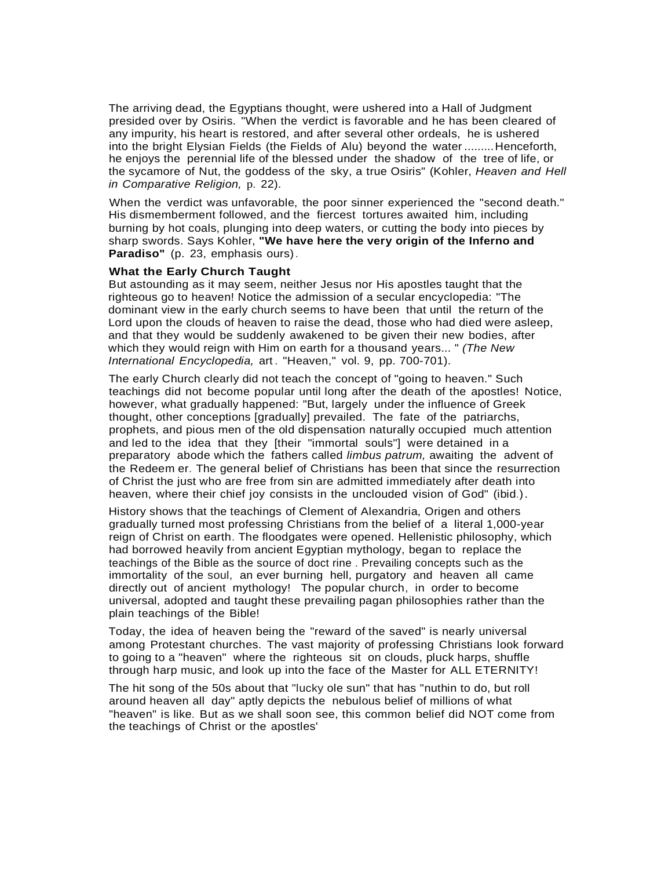The arriving dead, the Egyptians thought, were ushered into a Hall of Judgment presided over by Osiris. "When the verdict is favorable and he has been cleared of any impurity, his heart is restored, and after several other ordeals, he is ushered into the bright Elysian Fields (the Fields of Alu) beyond the water .........Henceforth, he enjoys the perennial life of the blessed under the shadow of the tree of life, or the sycamore of Nut, the goddess of the sky, a true Osiris" (Kohler, *Heaven and Hell in Comparative Religion,* p. 22).

When the verdict was unfavorable, the poor sinner experienced the "second death." His dismemberment followed, and the fiercest tortures awaited him, including burning by hot coals, plunging into deep waters, or cutting the body into pieces by sharp swords. Says Kohler, **"We have here the very origin of the Inferno and Paradiso"** (p. 23, emphasis ours).

## **What the Early Church Taught**

But astounding as it may seem, neither Jesus nor His apostles taught that the righteous go to heaven! Notice the admission of a secular encyclopedia: "The dominant view in the early church seems to have been that until the return of the Lord upon the clouds of heaven to raise the dead, those who had died were asleep, and that they would be suddenly awakened to be given their new bodies, after which they would reign with Him on earth for a thousand years... " *(The New International Encyclopedia,* art. "Heaven," vol. 9, pp. 700-701).

The early Church clearly did not teach the concept of "going to heaven." Such teachings did not become popular until long after the death of the apostles! Notice, however, what gradually happened: "But, largely under the influence of Greek thought, other conceptions [gradually] prevailed. The fate of the patriarchs, prophets, and pious men of the old dispensation naturally occupied much attention and led to the idea that they [their "immortal souls"] were detained in a preparatory abode which the fathers called *limbus patrum,* awaiting the advent of the Redeem er. The general belief of Christians has been that since the resurrection of Christ the just who are free from sin are admitted immediately after death into heaven, where their chief joy consists in the unclouded vision of God" (ibid.).

History shows that the teachings of Clement of Alexandria, Origen and others gradually turned most professing Christians from the belief of a literal 1,000-year reign of Christ on earth. The floodgates were opened. Hellenistic philosophy, which had borrowed heavily from ancient Egyptian mythology, began to replace the teachings of the Bible as the source of doct rine . Prevailing concepts such as the immortality of the soul, an ever burning hell, purgatory and heaven all came directly out of ancient mythology! The popular church, in order to become universal, adopted and taught these prevailing pagan philosophies rather than the plain teachings of the Bible!

Today, the idea of heaven being the "reward of the saved" is nearly universal among Protestant churches. The vast majority of professing Christians look forward to going to a "heaven" where the righteous sit on clouds, pluck harps, shuffle through harp music, and look up into the face of the Master for ALL ETERNITY!

The hit song of the 50s about that "lucky ole sun" that has "nuthin to do, but roll around heaven all day" aptly depicts the nebulous belief of millions of what "heaven" is like. But as we shall soon see, this common belief did NOT come from the teachings of Christ or the apostles'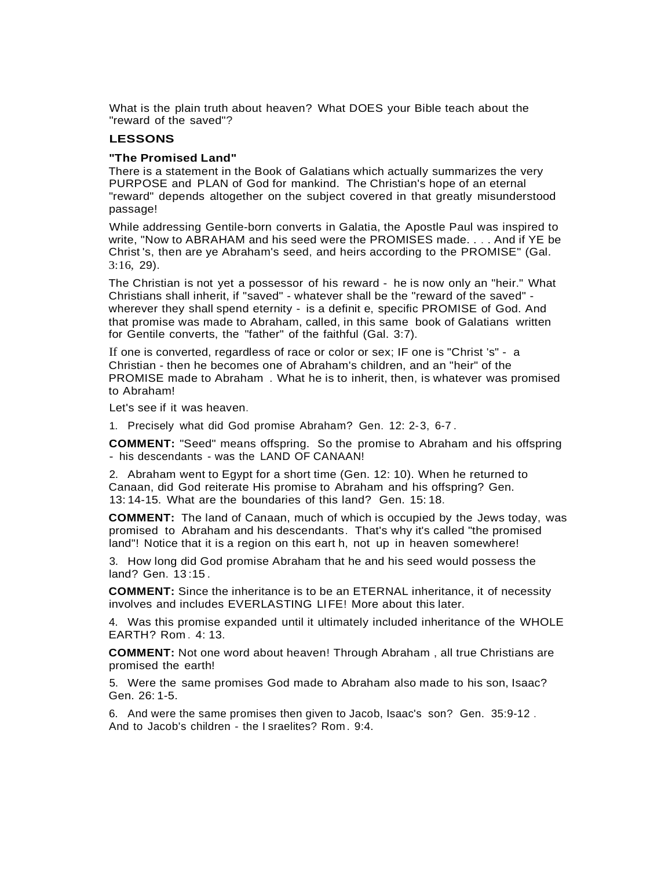What is the plain truth about heaven? What DOES your Bible teach about the "reward of the saved"?

## **LESSONS**

## **"The Promised Land"**

There is a statement in the Book of Galatians which actually summarizes the very PURPOSE and PLAN of God for mankind. The Christian's hope of an eternal "reward" depends altogether on the subject covered in that greatly misunderstood passage!

While addressing Gentile-born converts in Galatia, the Apostle Paul was inspired to write, "Now to ABRAHAM and his seed were the PROMISES made. . . . And if YE be Christ 's, then are ye Abraham's seed, and heirs according to the PROMISE" (Gal. 3:16, 29).

The Christian is not yet a possessor of his reward - he is now only an "heir." What Christians shall inherit, if "saved" - whatever shall be the "reward of the saved" wherever they shall spend eternity - is a definit e, specific PROMISE of God. And that promise was made to Abraham, called, in this same book of Galatians written for Gentile converts, the "father" of the faithful (Gal. 3:7).

If one is converted, regardless of race or color or sex; IF one is "Christ 's" - a Christian - then he becomes one of Abraham's children, and an "heir" of the PROMISE made to Abraham . What he is to inherit, then, is whatever was promised to Abraham!

Let's see if it was heaven.

1. Precisely what did God promise Abraham? Gen. 12: 2-3, 6-7 .

**COMMENT:** "Seed" means offspring. So the promise to Abraham and his offspring - his descendants - was the LAND OF CANAAN!

2. Abraham went to Egypt for a short time (Gen. 12: 10). When he returned to Canaan, did God reiterate His promise to Abraham and his offspring? Gen. 13: 14-15. What are the boundaries of this land? Gen. 15: 18.

**COMMENT:** The land of Canaan, much of which is occupied by the Jews today, was promised to Abraham and his descendants. That's why it's called "the promised land"! Notice that it is a region on this eart h, not up in heaven somewhere!

3. How long did God promise Abraham that he and his seed would possess the land? Gen. 13:15.

**COMMENT:** Since the inheritance is to be an ETERNAL inheritance, it of necessity involves and includes EVERLASTING LIFE! More about this later.

4. Was this promise expanded until it ultimately included inheritance of the WHOLE EARTH? Rom . 4: 13.

**COMMENT:** Not one word about heaven! Through Abraham , all true Christians are promised the earth!

5. Were the same promises God made to Abraham also made to his son, Isaac? Gen. 26: 1-5.

6. And were the same promises then given to Jacob, Isaac's son? Gen. 35:9-12 . And to Jacob's children - the I sraelites? Rom . 9:4.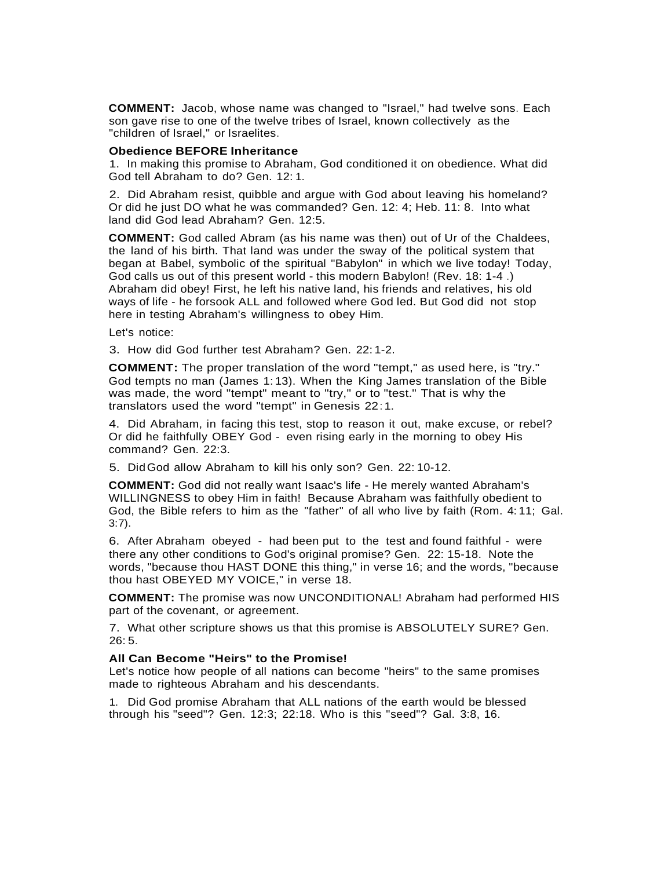**COMMENT:** Jacob, whose name was changed to "Israel," had twelve sons. Each son gave rise to one of the twelve tribes of Israel, known collectively as the "children of Israel," or Israelites.

## **Obedience BEFORE Inheritance**

1. In making this promise to Abraham, God conditioned it on obedience. What did God tell Abraham to do? Gen. 12: 1.

2. Did Abraham resist, quibble and argue with God about leaving his homeland? Or did he just DO what he was commanded? Gen. 12: 4; Heb. 11: 8. Into what land did God lead Abraham? Gen. 12:5.

**COMMENT:** God called Abram (as his name was then) out of Ur of the Chaldees, the land of his birth. That land was under the sway of the political system that began at Babel, symbolic of the spiritual "Babylon" in which we live today! Today, God calls us out of this present world - this modern Babylon! (Rev. 18: 1-4 .) Abraham did obey! First, he left his native land, his friends and relatives, his old ways of life - he forsook ALL and followed where God led. But God did not stop here in testing Abraham's willingness to obey Him.

Let's notice:

3. How did God further test Abraham? Gen. 22: 1-2.

**COMMENT:** The proper translation of the word "tempt," as used here, is "try." God tempts no man (James 1: 13). When the King James translation of the Bible was made, the word "tempt" meant to "try," or to "test." That is why the translators used the word "tempt" in Genesis 22:1.

4. Did Abraham, in facing this test, stop to reason it out, make excuse, or rebel? Or did he faithfully OBEY God - even rising early in the morning to obey His command? Gen. 22:3.

5. DidGod allow Abraham to kill his only son? Gen. 22: 10-12.

**COMMENT:** God did not really want Isaac's life - He merely wanted Abraham's WILLINGNESS to obey Him in faith! Because Abraham was faithfully obedient to God, the Bible refers to him as the "father" of all who live by faith (Rom. 4: 11; Gal. 3:7).

6. After Abraham obeyed - had been put to the test and found faithful - were there any other conditions to God's original promise? Gen. 22: 15-18. Note the words, "because thou HAST DONE this thing," in verse 16; and the words, "because thou hast OBEYED MY VOICE," in verse 18.

**COMMENT:** The promise was now UNCONDITIONAL! Abraham had performed HIS part of the covenant, or agreement.

7. What other scripture shows us that this promise is ABSOLUTELY SURE? Gen.  $26:5.$ 

## **All Can Become "Heirs" to the Promise!**

Let's notice how people of all nations can become "heirs" to the same promises made to righteous Abraham and his descendants.

1. Did God promise Abraham that ALL nations of the earth would be blessed through his "seed"? Gen. 12:3; 22:18. Who is this "seed"? Gal. 3:8, 16.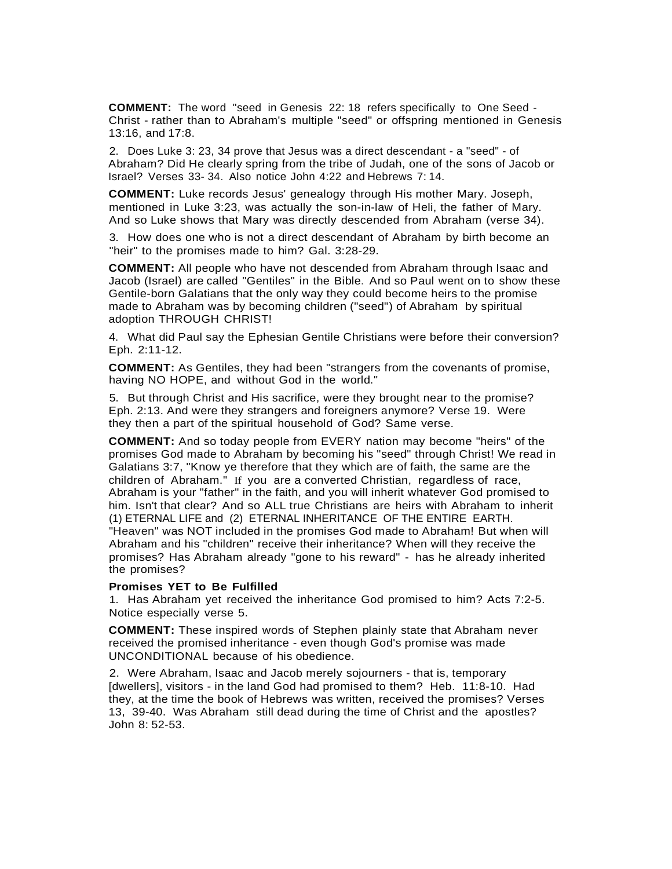**COMMENT:** The word "seed in Genesis 22: 18 refers specifically to One Seed - Christ - rather than to Abraham's multiple "seed" or offspring mentioned in Genesis 13:16, and 17:8.

2. Does Luke 3: 23, 34 prove that Jesus was a direct descendant - a "seed" - of Abraham? Did He clearly spring from the tribe of Judah, one of the sons of Jacob or Israel? Verses 33- 34. Also notice John 4:22 and Hebrews 7: 14.

**COMMENT:** Luke records Jesus' genealogy through His mother Mary. Joseph, mentioned in Luke 3:23, was actually the son-in-law of Heli, the father of Mary. And so Luke shows that Mary was directly descended from Abraham (verse 34).

3. How does one who is not a direct descendant of Abraham by birth become an "heir" to the promises made to him? Gal. 3:28-29.

**COMMENT:** All people who have not descended from Abraham through Isaac and Jacob (Israel) are called "Gentiles" in the Bible. And so Paul went on to show these Gentile-born Galatians that the only way they could become heirs to the promise made to Abraham was by becoming children ("seed") of Abraham by spiritual adoption THROUGH CHRIST!

4. What did Paul say the Ephesian Gentile Christians were before their conversion? Eph. 2:11-12.

**COMMENT:** As Gentiles, they had been "strangers from the covenants of promise, having NO HOPE, and without God in the world."

5. But through Christ and His sacrifice, were they brought near to the promise? Eph. 2:13. And were they strangers and foreigners anymore? Verse 19. Were they then a part of the spiritual household of God? Same verse.

**COMMENT:** And so today people from EVERY nation may become "heirs" of the promises God made to Abraham by becoming his "seed" through Christ! We read in Galatians 3:7, "Know ye therefore that they which are of faith, the same are the children of Abraham." If you are a converted Christian, regardless of race, Abraham is your "father" in the faith, and you will inherit whatever God promised to him. Isn't that clear? And so ALL true Christians are heirs with Abraham to inherit (1) ETERNAL LIFE and (2) ETERNAL INHERITANCE OF THE ENTIRE EARTH. "Heaven" was NOT included in the promises God made to Abraham! But when will Abraham and his "children" receive their inheritance? When will they receive the promises? Has Abraham already "gone to his reward" - has he already inherited the promises?

#### **Promises YET to Be Fulfilled**

1. Has Abraham yet received the inheritance God promised to him? Acts 7:2-5. Notice especially verse 5.

**COMMENT:** These inspired words of Stephen plainly state that Abraham never received the promised inheritance - even though God's promise was made UNCONDITIONAL because of his obedience.

2. Were Abraham, Isaac and Jacob merely sojourners - that is, temporary [dwellers], visitors - in the land God had promised to them? Heb. 11:8-10. Had they, at the time the book of Hebrews was written, received the promises? Verses 13, 39-40. Was Abraham still dead during the time of Christ and the apostles? John 8: 52-53.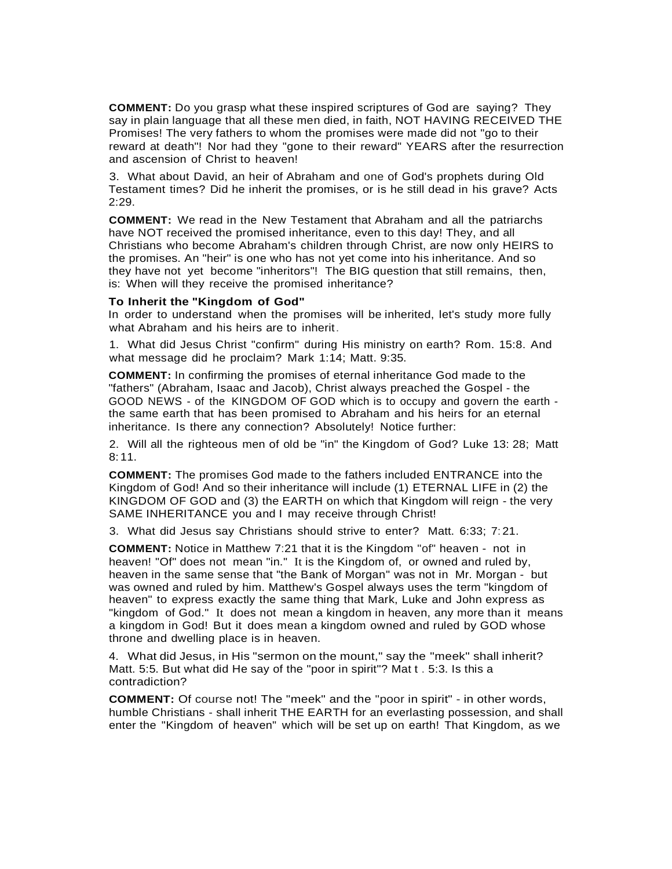**COMMENT:** Do you grasp what these inspired scriptures of God are saying? They say in plain language that all these men died, in faith, NOT HAVING RECEIVED THE Promises! The very fathers to whom the promises were made did not "go to their reward at death"! Nor had they "gone to their reward" YEARS after the resurrection and ascension of Christ to heaven!

3. What about David, an heir of Abraham and one of God's prophets during Old Testament times? Did he inherit the promises, or is he still dead in his grave? Acts 2:29.

**COMMENT:** We read in the New Testament that Abraham and all the patriarchs have NOT received the promised inheritance, even to this day! They, and all Christians who become Abraham's children through Christ, are now only HEIRS to the promises. An "heir" is one who has not yet come into his inheritance. And so they have not yet become "inheritors"! The BIG question that still remains, then, is: When will they receive the promised inheritance?

## **To Inherit the "Kingdom of God"**

In order to understand when the promises will be inherited, let's study more fully what Abraham and his heirs are to inherit.

1. What did Jesus Christ "confirm" during His ministry on earth? Rom. 15:8. And what message did he proclaim? Mark 1:14; Matt. 9:35.

**COMMENT:** In confirming the promises of eternal inheritance God made to the "fathers" (Abraham, Isaac and Jacob), Christ always preached the Gospel - the GOOD NEWS - of the KINGDOM OF GOD which is to occupy and govern the earth the same earth that has been promised to Abraham and his heirs for an eternal inheritance. Is there any connection? Absolutely! Notice further:

2. Will all the righteous men of old be "in" the Kingdom of God? Luke 13: 28; Matt 8: 11.

**COMMENT:** The promises God made to the fathers included ENTRANCE into the Kingdom of God! And so their inheritance will include (1) ETERNAL LIFE in (2) the KINGDOM OF GOD and (3) the EARTH on which that Kingdom will reign - the very SAME INHERITANCE you and I may receive through Christ!

3. What did Jesus say Christians should strive to enter? Matt. 6:33; 7: 21.

**COMMENT:** Notice in Matthew 7:21 that it is the Kingdom "of" heaven - not in heaven! "Of" does not mean "in." It is the Kingdom of, or owned and ruled by, heaven in the same sense that "the Bank of Morgan" was not in Mr. Morgan - but was owned and ruled by him. Matthew's Gospel always uses the term "kingdom of heaven" to express exactly the same thing that Mark, Luke and John express as "kingdom of God." It does not mean a kingdom in heaven, any more than it means a kingdom in God! But it does mean a kingdom owned and ruled by GOD whose throne and dwelling place is in heaven.

4. What did Jesus, in His "sermon on the mount," say the "meek" shall inherit? Matt. 5:5. But what did He say of the "poor in spirit"? Mat t . 5:3. Is this a contradiction?

**COMMENT:** Of course not! The "meek" and the "poor in spirit" - in other words, humble Christians - shall inherit THE EARTH for an everlasting possession, and shall enter the "Kingdom of heaven" which will be set up on earth! That Kingdom, as we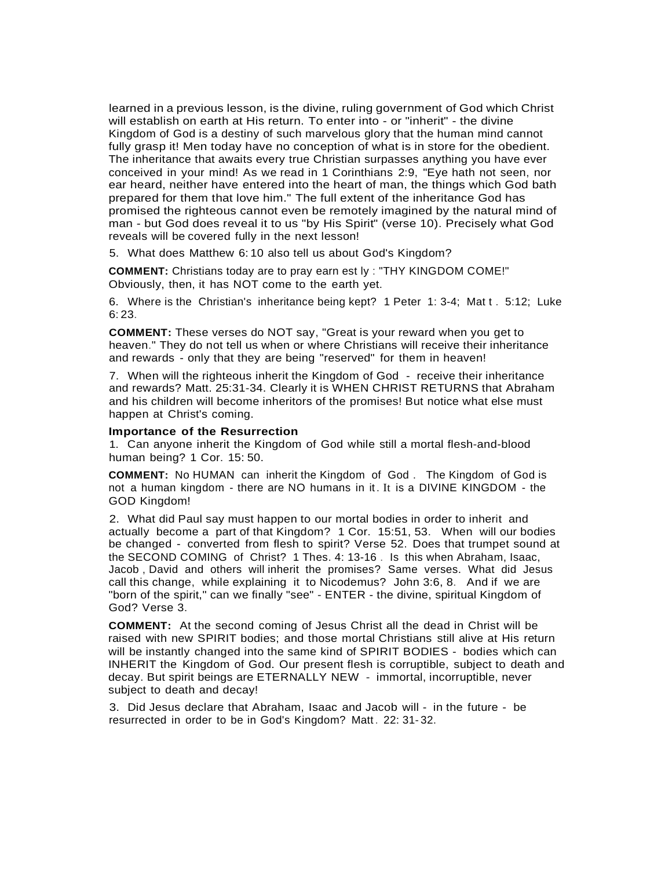learned in a previous lesson, is the divine, ruling government of God which Christ will establish on earth at His return. To enter into - or "inherit" - the divine Kingdom of God is a destiny of such marvelous glory that the human mind cannot fully grasp it! Men today have no conception of what is in store for the obedient. The inheritance that awaits every true Christian surpasses anything you have ever conceived in your mind! As we read in 1 Corinthians 2:9, "Eye hath not seen, nor ear heard, neither have entered into the heart of man, the things which God bath prepared for them that love him." The full extent of the inheritance God has promised the righteous cannot even be remotely imagined by the natural mind of man - but God does reveal it to us "by His Spirit" (verse 10). Precisely what God reveals will be covered fully in the next lesson!

5. What does Matthew 6: 10 also tell us about God's Kingdom?

**COMMENT:** Christians today are to pray earn est ly : "THY KINGDOM COME!" Obviously, then, it has NOT come to the earth yet.

6. Where is the Christian's inheritance being kept? 1 Peter 1: 3-4; Mat t . 5:12; Luke 6: 23.

**COMMENT:** These verses do NOT say, "Great is your reward when you get to heaven." They do not tell us when or where Christians will receive their inheritance and rewards - only that they are being "reserved" for them in heaven!

7. When will the righteous inherit the Kingdom of God - receive their inheritance and rewards? Matt. 25:31-34. Clearly it is WHEN CHRIST RETURNS that Abraham and his children will become inheritors of the promises! But notice what else must happen at Christ's coming.

### **Importance of the Resurrection**

1. Can anyone inherit the Kingdom of God while still a mortal flesh-and-blood human being? 1 Cor. 15: 50.

**COMMENT:** No HUMAN can inherit the Kingdom of God . The Kingdom of God is not a human kingdom - there are NO humans in it. It is a DIVINE KINGDOM - the GOD Kingdom!

2. What did Paul say must happen to our mortal bodies in order to inherit and actually become a part of that Kingdom? 1 Cor. 15:51, 53. When will our bodies be changed - converted from flesh to spirit? Verse 52. Does that trumpet sound at the SECOND COMING of Christ? 1 Thes. 4: 13-16 . Is this when Abraham, Isaac, Jacob , David and others will inherit the promises? Same verses. What did Jesus call this change, while explaining it to Nicodemus? John 3:6, 8. And if we are "born of the spirit," can we finally "see" - ENTER - the divine, spiritual Kingdom of God? Verse 3.

**COMMENT:** At the second coming of Jesus Christ all the dead in Christ will be raised with new SPIRIT bodies; and those mortal Christians still alive at His return will be instantly changed into the same kind of SPIRIT BODIES - bodies which can INHERIT the Kingdom of God. Our present flesh is corruptible, subject to death and decay. But spirit beings are ETERNALLY NEW - immortal, incorruptible, never subject to death and decay!

3. Did Jesus declare that Abraham, Isaac and Jacob will - in the future - be resurrected in order to be in God's Kingdom? Matt. 22: 31-32.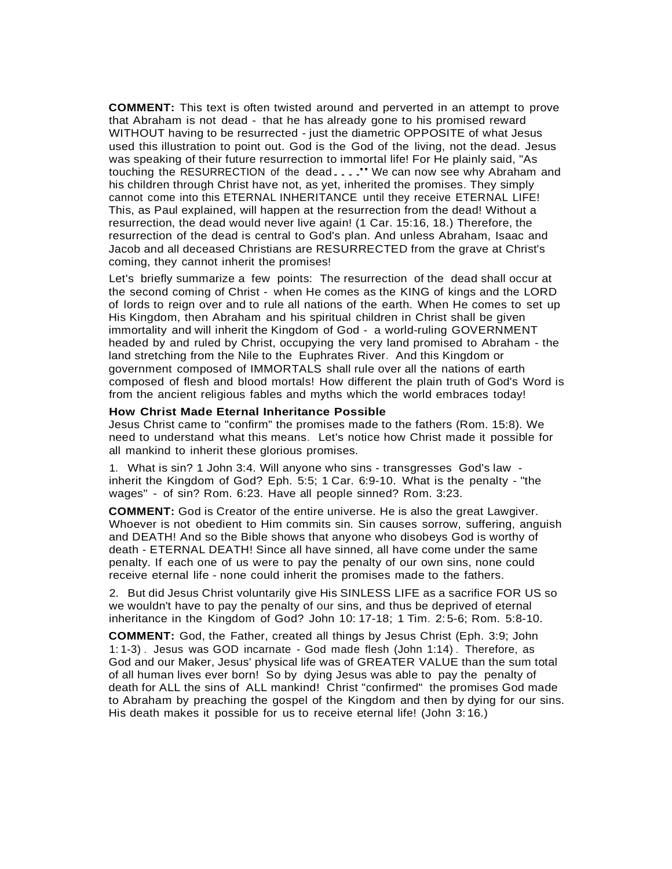**COMMENT:** This text is often twisted around and perverted in an attempt to prove that Abraham is not dead - that he has already gone to his promised reward WITHOUT having to be resurrected - just the diametric OPPOSITE of what Jesus used this illustration to point out. God is the God of the living, not the dead. Jesus was speaking of their future resurrection to immortal life! For He plainly said, "As touching the RESURRECTION of the dead...." We can now see why Abraham and his children through Christ have not, as yet, inherited the promises. They simply cannot come into this ETERNAL INHERITANCE until they receive ETERNAL LIFE! This, as Paul explained, will happen at the resurrection from the dead! Without a resurrection, the dead would never live again! (1 Car. 15:16, 18.) Therefore, the resurrection of the dead is central to God's plan. And unless Abraham, Isaac and Jacob and all deceased Christians are RESURRECTED from the grave at Christ's coming, they cannot inherit the promises!

Let's briefly summarize a few points: The resurrection of the dead shall occur at the second coming of Christ - when He comes as the KING of kings and the LORD of lords to reign over and to rule all nations of the earth. When He comes to set up His Kingdom, then Abraham and his spiritual children in Christ shall be given immortality and will inherit the Kingdom of God - a world-ruling GOVERNMENT headed by and ruled by Christ, occupying the very land promised to Abraham - the land stretching from the Nile to the Euphrates River. And this Kingdom or government composed of IMMORTALS shall rule over all the nations of earth composed of flesh and blood mortals! How different the plain truth of God's Word is from the ancient religious fables and myths which the world embraces today!

#### **How Christ Made Eternal Inheritance Possible**

Jesus Christ came to "confirm" the promises made to the fathers (Rom. 15:8). We need to understand what this means. Let's notice how Christ made it possible for all mankind to inherit these glorious promises.

1. What is sin? 1 John 3:4. Will anyone who sins - transgresses God's law inherit the Kingdom of God? Eph. 5:5; 1 Car. 6:9-10. What is the penalty - "the wages" - of sin? Rom. 6:23. Have all people sinned? Rom. 3:23.

**COMMENT:** God is Creator of the entire universe. He is also the great Lawgiver. Whoever is not obedient to Him commits sin. Sin causes sorrow, suffering, anguish and DEATH! And so the Bible shows that anyone who disobeys God is worthy of death - ETERNAL DEATH! Since all have sinned, all have come under the same penalty. If each one of us were to pay the penalty of our own sins, none could receive eternal life - none could inherit the promises made to the fathers.

2. But did Jesus Christ voluntarily give His SINLESS LIFE as a sacrifice FOR US so we wouldn't have to pay the penalty of our sins, and thus be deprived of eternal inheritance in the Kingdom of God? John 10: 17-18; 1 Tim. 2: 5-6; Rom. 5:8-10.

**COMMENT:** God, the Father, created all things by Jesus Christ (Eph. 3:9; John 1:1-3) . Jesus was GOD incarnate - God made flesh (John 1:14) . Therefore, as God and our Maker, Jesus' physical life was of GREATER VALUE than the sum total of all human lives ever born! So by dying Jesus was able to pay the penalty of death for ALL the sins of ALL mankind! Christ "confirmed" the promises God made to Abraham by preaching the gospel of the Kingdom and then by dying for our sins. His death makes it possible for us to receive eternal life! (John 3: 16.)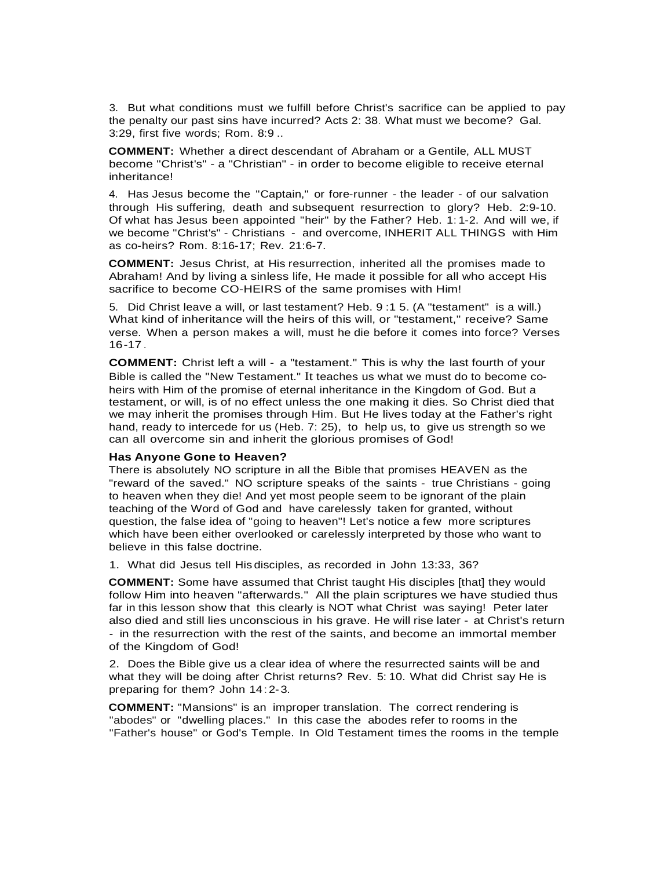3. But what conditions must we fulfill before Christ's sacrifice can be applied to pay the penalty our past sins have incurred? Acts 2: 38. What must we become? Gal. 3:29, first five words; Rom. 8:9 ..

**COMMENT:** Whether a direct descendant of Abraham or a Gentile, ALL MUST become "Christ's" - a "Christian" - in order to become eligible to receive eternal inheritance!

4. Has Jesus become the "Captain," or fore-runner - the leader - of our salvation through His suffering, death and subsequent resurrection to glory? Heb. 2:9-10. Of what has Jesus been appointed "heir" by the Father? Heb. 1: 1-2. And will we, if we become "Christ's" - Christians - and overcome, INHERIT ALL THINGS with Him as co-heirs? Rom. 8:16-17; Rev. 21:6-7.

**COMMENT:** Jesus Christ, at His resurrection, inherited all the promises made to Abraham! And by living a sinless life, He made it possible for all who accept His sacrifice to become CO-HEIRS of the same promises with Him!

5. Did Christ leave a will, or last testament? Heb. 9 :1 5. (A "testament" is a will.) What kind of inheritance will the heirs of this will, or "testament," receive? Same verse. When a person makes a will, must he die before it comes into force? Verses 16-17.

**COMMENT:** Christ left a will - a "testament." This is why the last fourth of your Bible is called the "New Testament." It teaches us what we must do to become coheirs with Him of the promise of eternal inheritance in the Kingdom of God. But a testament, or will, is of no effect unless the one making it dies. So Christ died that we may inherit the promises through Him. But He lives today at the Father's right hand, ready to intercede for us (Heb. 7: 25), to help us, to give us strength so we can all overcome sin and inherit the glorious promises of God!

#### **Has Anyone Gone to Heaven?**

There is absolutely NO scripture in all the Bible that promises HEAVEN as the "reward of the saved." NO scripture speaks of the saints - true Christians - going to heaven when they die! And yet most people seem to be ignorant of the plain teaching of the Word of God and have carelessly taken for granted, without question, the false idea of "going to heaven"! Let's notice a few more scriptures which have been either overlooked or carelessly interpreted by those who want to believe in this false doctrine.

1. What did Jesus tell His disciples, as recorded in John 13:33, 36?

**COMMENT:** Some have assumed that Christ taught His disciples [that] they would follow Him into heaven "afterwards." All the plain scriptures we have studied thus far in this lesson show that this clearly is NOT what Christ was saying! Peter later also died and still lies unconscious in his grave. He will rise later - at Christ's return - in the resurrection with the rest of the saints, and become an immortal member of the Kingdom of God!

2. Does the Bible give us a clear idea of where the resurrected saints will be and what they will be doing after Christ returns? Rev. 5: 10. What did Christ say He is preparing for them? John 14: 2-3.

**COMMENT:** "Mansions" is an improper translation. The correct rendering is "abodes" or "dwelling places." In this case the abodes refer to rooms in the "Father's house" or God's Temple. In Old Testament times the rooms in the temple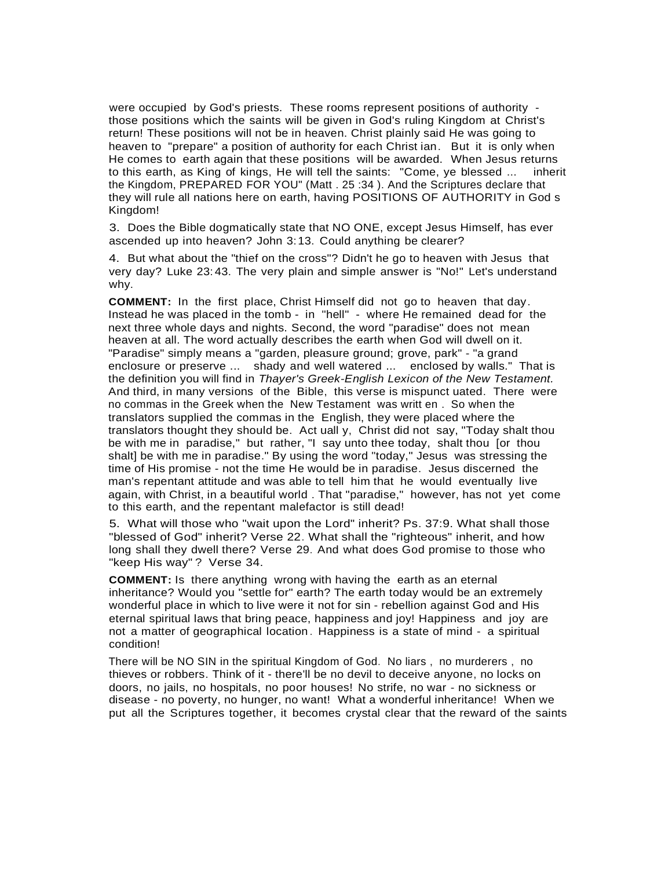were occupied by God's priests. These rooms represent positions of authority those positions which the saints will be given in God's ruling Kingdom at Christ's return! These positions will not be in heaven. Christ plainly said He was going to heaven to "prepare" a position of authority for each Christ ian. But it is only when He comes to earth again that these positions will be awarded. When Jesus returns to this earth, as King of kings, He will tell the saints: "Come, ye blessed ... inherit the Kingdom, PREPARED FOR YOU" (Matt . 25 :34 ). And the Scriptures declare that they will rule all nations here on earth, having POSITIONS OF AUTHORITY in God s Kingdom!

3. Does the Bible dogmatically state that NO ONE, except Jesus Himself, has ever ascended up into heaven? John 3:13. Could anything be clearer?

4. But what about the "thief on the cross"? Didn't he go to heaven with Jesus that very day? Luke 23: 43. The very plain and simple answer is "No!" Let's understand why.

**COMMENT:** In the first place, Christ Himself did not go to heaven that day. Instead he was placed in the tomb - in "hell" - where He remained dead for the next three whole days and nights. Second, the word "paradise" does not mean heaven at all. The word actually describes the earth when God will dwell on it. "Paradise" simply means a "garden, pleasure ground; grove, park" - "a grand enclosure or preserve ... shady and well watered ... enclosed by walls." That is the definition you will find in *Thayer's Greek-English Lexicon of the New Testament.* And third, in many versions of the Bible, this verse is mispunct uated. There were no commas in the Greek when the New Testament was writt en . So when the translators supplied the commas in the English, they were placed where the translators thought they should be. Act uall y, Christ did not say, "Today shalt thou be with me in paradise." but rather, "I say unto thee today, shalt thou [or thou shalt] be with me in paradise." By using the word "today," Jesus was stressing the time of His promise - not the time He would be in paradise. Jesus discerned the man's repentant attitude and was able to tell him that he would eventually live again, with Christ, in a beautiful world . That "paradise," however, has not yet come to this earth, and the repentant malefactor is still dead!

5. What will those who "wait upon the Lord" inherit? Ps. 37:9. What shall those "blessed of God" inherit? Verse 22. What shall the "righteous" inherit, and how long shall they dwell there? Verse 29. And what does God promise to those who "keep His way" ? Verse 34.

**COMMENT:** Is there anything wrong with having the earth as an eternal inheritance? Would you "settle for" earth? The earth today would be an extremely wonderful place in which to live were it not for sin - rebellion against God and His eternal spiritual laws that bring peace, happiness and joy! Happiness and joy are not a matter of geographical location. Happiness is a state of mind - a spiritual condition!

There will be NO SIN in the spiritual Kingdom of God. No liars , no murderers , no thieves or robbers. Think of it - there'll be no devil to deceive anyone, no locks on doors, no jails, no hospitals, no poor houses! No strife, no war - no sickness or disease - no poverty, no hunger, no want! What a wonderful inheritance! When we put all the Scriptures together, it becomes crystal clear that the reward of the saints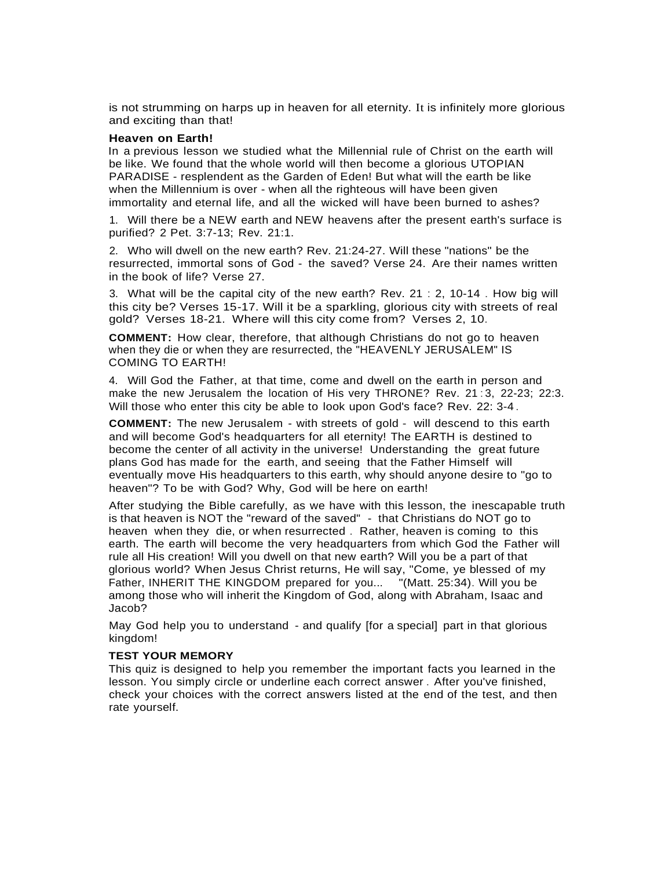is not strumming on harps up in heaven for all eternity. It is infinitely more glorious and exciting than that!

#### **Heaven on Earth!**

In a previous lesson we studied what the Millennial rule of Christ on the earth will be like. We found that the whole world will then become a glorious UTOPIAN PARADISE - resplendent as the Garden of Eden! But what will the earth be like when the Millennium is over - when all the righteous will have been given immortality and eternal life, and all the wicked will have been burned to ashes?

1. Will there be a NEW earth and NEW heavens after the present earth's surface is purified? 2 Pet. 3:7-13; Rev. 21:1.

2. Who will dwell on the new earth? Rev. 21:24-27. Will these "nations" be the resurrected, immortal sons of God - the saved? Verse 24. Are their names written in the book of life? Verse 27.

3. What will be the capital city of the new earth? Rev. 21 : 2, 10-14 . How big will this city be? Verses 15-17. Will it be a sparkling, glorious city with streets of real gold? Verses 18-21. Where will this city come from? Verses 2, 10.

**COMMENT:** How clear, therefore, that although Christians do not go to heaven when they die or when they are resurrected, the "HEAVENLY JERUSALEM" IS COMING TO EARTH!

4. Will God the Father, at that time, come and dwell on the earth in person and make the new Jerusalem the location of His very THRONE? Rev. 21 :3, 22-23; 22:3. Will those who enter this city be able to look upon God's face? Rev. 22: 3-4.

**COMMENT:** The new Jerusalem - with streets of gold - will descend to this earth and will become God's headquarters for all eternity! The EARTH is destined to become the center of all activity in the universe! Understanding the great future plans God has made for the earth, and seeing that the Father Himself will eventually move His headquarters to this earth, why should anyone desire to "go to heaven"? To be with God? Why, God will be here on earth!

After studying the Bible carefully, as we have with this lesson, the inescapable truth is that heaven is NOT the "reward of the saved" - that Christians do NOT go to heaven when they die, or when resurrected . Rather, heaven is coming to this earth. The earth will become the very headquarters from which God the Father will rule all His creation! Will you dwell on that new earth? Will you be a part of that glorious world? When Jesus Christ returns, He will say, "Come, ye blessed of my Father, INHERIT THE KINGDOM prepared for you... "(Matt. 25:34). Will you be among those who will inherit the Kingdom of God, along with Abraham, Isaac and Jacob?

May God help you to understand - and qualify [for a special] part in that glorious kingdom!

#### **TEST YOUR MEMORY**

This quiz is designed to help you remember the important facts you learned in the lesson. You simply circle or underline each correct answer . After you've finished, check your choices with the correct answers listed at the end of the test, and then rate yourself.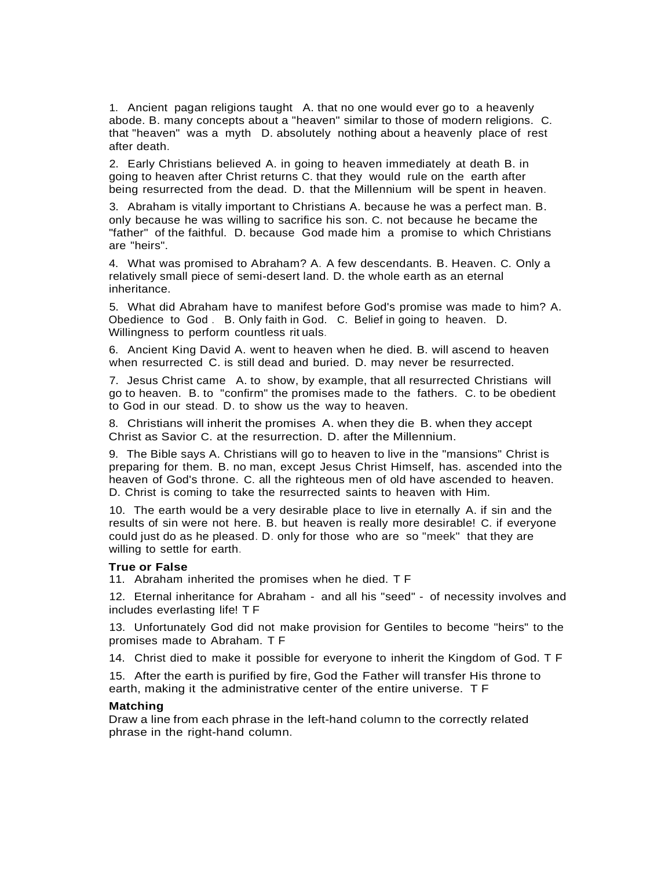1. Ancient pagan religions taught A. that no one would ever go to a heavenly abode. B. many concepts about a "heaven" similar to those of modern religions. C. that "heaven" was a myth D. absolutely nothing about a heavenly place of rest after death.

2. Early Christians believed A. in going to heaven immediately at death B. in going to heaven after Christ returns C. that they would rule on the earth after being resurrected from the dead. D. that the Millennium will be spent in heaven.

3. Abraham is vitally important to Christians A. because he was a perfect man. B. only because he was willing to sacrifice his son. C. not because he became the "father" of the faithful. D. because God made him a promise to which Christians are "heirs".

4. What was promised to Abraham? A. A few descendants. B. Heaven. C. Only a relatively small piece of semi-desert land. D. the whole earth as an eternal inheritance.

5. What did Abraham have to manifest before God's promise was made to him? A. Obedience to God . B. Only faith in God. C. Belief in going to heaven. D. Willingness to perform countless rit uals.

6. Ancient King David A. went to heaven when he died. B. will ascend to heaven when resurrected C. is still dead and buried. D. may never be resurrected.

7. Jesus Christ came A. to show, by example, that all resurrected Christians will go to heaven. B. to "confirm" the promises made to the fathers. C. to be obedient to God in our stead. D. to show us the way to heaven.

8. Christians will inherit the promises A. when they die B. when they accept Christ as Savior C. at the resurrection. D. after the Millennium.

9. The Bible says A. Christians will go to heaven to live in the "mansions" Christ is preparing for them. B. no man, except Jesus Christ Himself, has. ascended into the heaven of God's throne. C. all the righteous men of old have ascended to heaven. D. Christ is coming to take the resurrected saints to heaven with Him.

10. The earth would be a very desirable place to live in eternally A. if sin and the results of sin were not here. B. but heaven is really more desirable! C. if everyone could just do as he pleased. D. only for those who are so "meek" that they are willing to settle for earth.

## **True or False**

11. Abraham inherited the promises when he died. T F

12. Eternal inheritance for Abraham - and all his "seed" - of necessity involves and includes everlasting life! T F

13. Unfortunately God did not make provision for Gentiles to become "heirs" to the promises made to Abraham. T F

14. Christ died to make it possible for everyone to inherit the Kingdom of God. T F

15. After the earth is purified by fire, God the Father will transfer His throne to earth, making it the administrative center of the entire universe. T F

#### **Matching**

Draw a line from each phrase in the left-hand column to the correctly related phrase in the right-hand column.